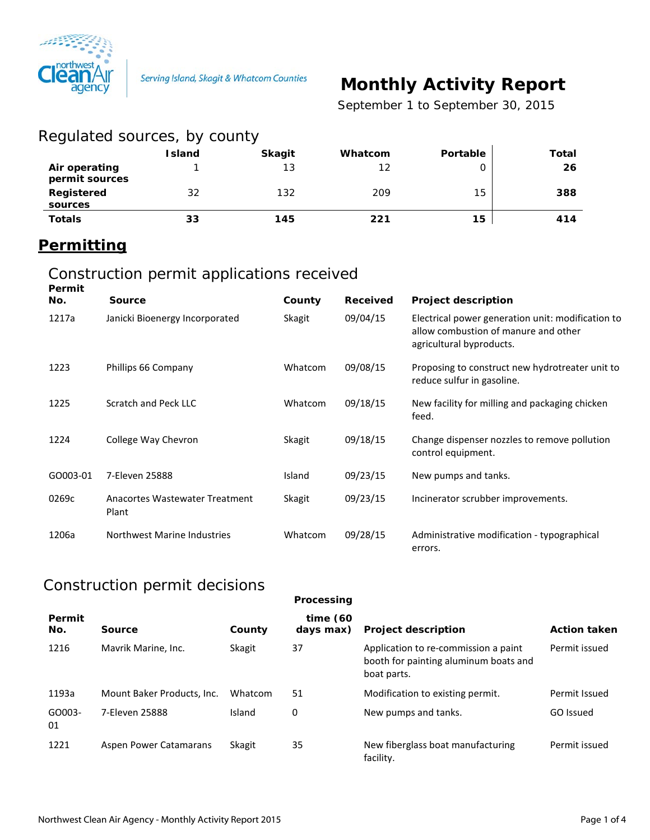

# **Monthly Activity Report**

 *September 1 to September 30, 2015*

| Regulated sources, by county    |               |               |         |          |       |
|---------------------------------|---------------|---------------|---------|----------|-------|
|                                 | <b>Island</b> | <b>Skagit</b> | Whatcom | Portable | Total |
| Air operating<br>permit sources |               | 13            | 12      |          | 26    |
| Registered<br>sources           | 32            | 132           | 209     | 15       | 388   |
| <b>Totals</b>                   | 33            | 145           | 221     | 15       | 414   |

#### **Permitting**

#### Construction permit applications received

| Permit<br>No. | <b>Source</b>                           | County        | <b>Received</b> | <b>Project description</b>                                                                                            |
|---------------|-----------------------------------------|---------------|-----------------|-----------------------------------------------------------------------------------------------------------------------|
| 1217a         | Janicki Bioenergy Incorporated          | Skagit        | 09/04/15        | Electrical power generation unit: modification to<br>allow combustion of manure and other<br>agricultural byproducts. |
| 1223          | Phillips 66 Company                     | Whatcom       | 09/08/15        | Proposing to construct new hydrotreater unit to<br>reduce sulfur in gasoline.                                         |
| 1225          | Scratch and Peck LLC                    | Whatcom       | 09/18/15        | New facility for milling and packaging chicken<br>feed.                                                               |
| 1224          | College Way Chevron                     | <b>Skagit</b> | 09/18/15        | Change dispenser nozzles to remove pollution<br>control equipment.                                                    |
| GO003-01      | 7-Eleven 25888                          | Island        | 09/23/15        | New pumps and tanks.                                                                                                  |
| 0269c         | Anacortes Wastewater Treatment<br>Plant | Skagit        | 09/23/15        | Incinerator scrubber improvements.                                                                                    |
| 1206a         | Northwest Marine Industries             | Whatcom       | 09/28/15        | Administrative modification - typographical<br>errors.                                                                |

## Construction permit decisions

|               |                            |         | Processing               |                                                                                              |                     |
|---------------|----------------------------|---------|--------------------------|----------------------------------------------------------------------------------------------|---------------------|
| Permit<br>No. | Source                     | County  | time $(60)$<br>days max) | <b>Project description</b>                                                                   | <b>Action taken</b> |
| 1216          | Mavrik Marine, Inc.        | Skagit  | 37                       | Application to re-commission a paint<br>booth for painting aluminum boats and<br>boat parts. | Permit issued       |
| 1193a         | Mount Baker Products, Inc. | Whatcom | 51                       | Modification to existing permit.                                                             | Permit Issued       |
| GO003-<br>01  | 7-Eleven 25888             | Island  | 0                        | New pumps and tanks.                                                                         | GO Issued           |
| 1221          | Aspen Power Catamarans     | Skagit  | 35                       | New fiberglass boat manufacturing<br>facility.                                               | Permit issued       |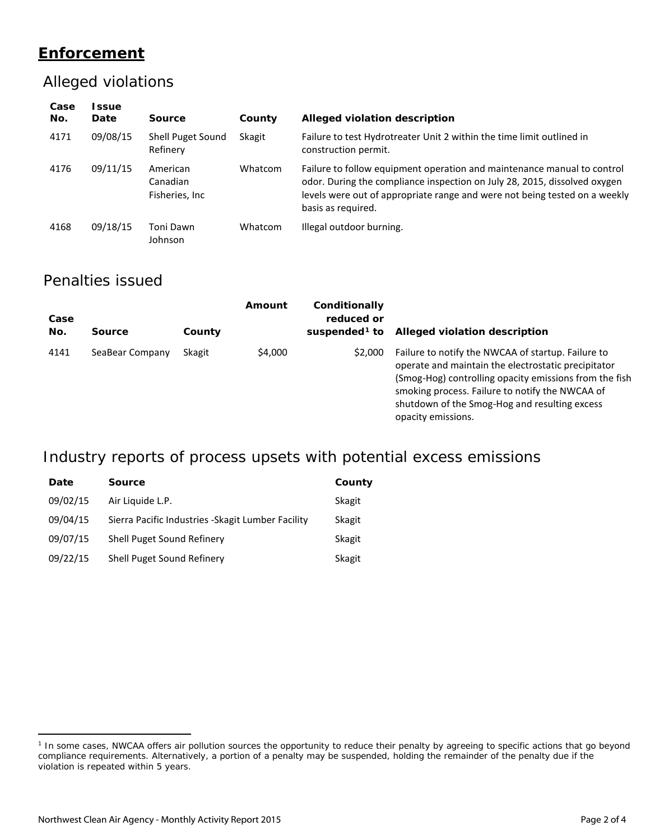## **Enforcement**

#### Alleged violations

| Case<br>No. | l ssue<br>Date | Source                                  | County  | Alleged violation description                                                                                                                                                                                                                            |
|-------------|----------------|-----------------------------------------|---------|----------------------------------------------------------------------------------------------------------------------------------------------------------------------------------------------------------------------------------------------------------|
| 4171        | 09/08/15       | Shell Puget Sound<br>Refinery           | Skagit  | Failure to test Hydrotreater Unit 2 within the time limit outlined in<br>construction permit.                                                                                                                                                            |
| 4176        | 09/11/15       | American<br>Canadian<br>Fisheries, Inc. | Whatcom | Failure to follow equipment operation and maintenance manual to control<br>odor. During the compliance inspection on July 28, 2015, dissolved oxygen<br>levels were out of appropriate range and were not being tested on a weekly<br>basis as required. |
| 4168        | 09/18/15       | Toni Dawn<br>Johnson                    | Whatcom | Illegal outdoor burning.                                                                                                                                                                                                                                 |

#### Penalties issued

| Case<br>No. | <b>Source</b>   | County | Amount  | Conditionally<br>reduced or<br>suspended <sup>1</sup> to | Alleged violation description                                                                                                                                                                                                                                                                 |
|-------------|-----------------|--------|---------|----------------------------------------------------------|-----------------------------------------------------------------------------------------------------------------------------------------------------------------------------------------------------------------------------------------------------------------------------------------------|
| 4141        | SeaBear Company | Skagit | \$4,000 | \$2,000                                                  | Failure to notify the NWCAA of startup. Failure to<br>operate and maintain the electrostatic precipitator<br>(Smog-Hog) controlling opacity emissions from the fish<br>smoking process. Failure to notify the NWCAA of<br>shutdown of the Smog-Hog and resulting excess<br>opacity emissions. |

## Industry reports of process upsets with potential excess emissions

| Date     | <b>Source</b>                                      | County |
|----------|----------------------------------------------------|--------|
| 09/02/15 | Air Liquide L.P.                                   | Skagit |
| 09/04/15 | Sierra Pacific Industries - Skagit Lumber Facility | Skagit |
| 09/07/15 | Shell Puget Sound Refinery                         | Skagit |
| 09/22/15 | Shell Puget Sound Refinery                         | Skagit |

 $\overline{a}$ 

<span id="page-1-0"></span><sup>&</sup>lt;sup>1</sup> In some cases, NWCAA offers air pollution sources the opportunity to reduce their penalty by agreeing to specific actions that go beyond compliance requirements. Alternatively, a portion of a penalty may be suspended, holding the remainder of the penalty due if the violation is repeated within 5 years.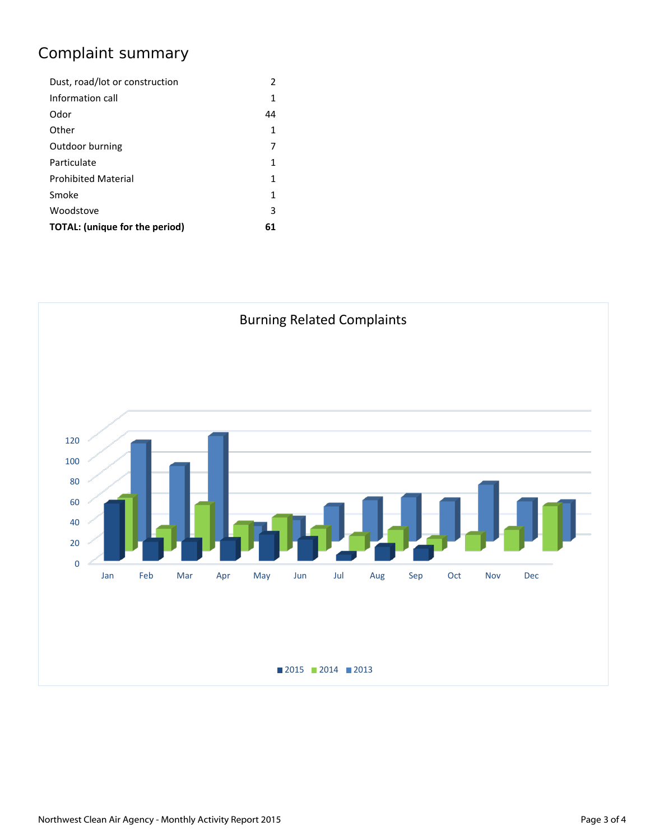## Complaint summary

| Dust, road/lot or construction | 2  |
|--------------------------------|----|
| Information call               | 1  |
| Odor                           | 44 |
| Other                          | 1  |
| Outdoor burning                | 7  |
| Particulate                    | 1  |
| <b>Prohibited Material</b>     | 1  |
| Smoke                          | 1  |
| Woodstove                      | 3  |
| TOTAL: (unique for the period) | 61 |